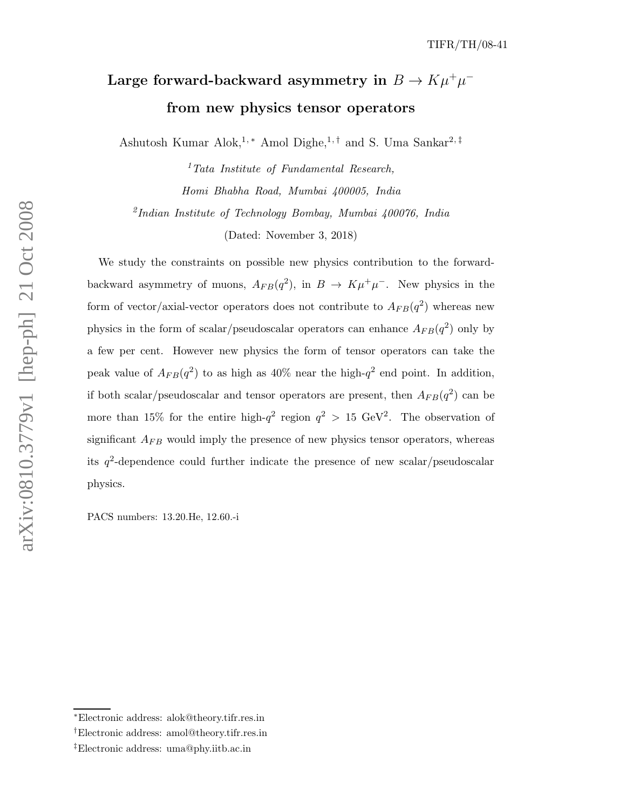# Large forward-backward asymmetry in  $B \to K \mu^+ \mu^$ from new physics tensor operators

Ashutosh Kumar Alok,<sup>1,∗</sup> Amol Dighe,<sup>1,†</sup> and S. Uma Sankar<sup>2,‡</sup>

 ${}^{1}$ Tata Institute of Fundamental Research, Homi Bhabha Road, Mumbai 400005, India 2 Indian Institute of Technology Bombay, Mumbai 400076, India

(Dated: November 3, 2018)

We study the constraints on possible new physics contribution to the forwardbackward asymmetry of muons,  $A_{FB}(q^2)$ , in  $B \to K\mu^+\mu^-$ . New physics in the form of vector/axial-vector operators does not contribute to  $A_{FB}(q^2)$  whereas new physics in the form of scalar/pseudoscalar operators can enhance  $A_{FB}(q^2)$  only by a few per cent. However new physics the form of tensor operators can take the peak value of  $A_{FB}(q^2)$  to as high as  $40\%$  near the high- $q^2$  end point. In addition, if both scalar/pseudoscalar and tensor operators are present, then  $A_{FB}(q^2)$  can be more than 15% for the entire high- $q^2$  region  $q^2 > 15$  GeV<sup>2</sup>. The observation of significant  $A_{FB}$  would imply the presence of new physics tensor operators, whereas its  $q^2$ -dependence could further indicate the presence of new scalar/pseudoscalar physics.

PACS numbers: 13.20.He, 12.60.-i

arXiv:0810.3779v1 [hep-ph] 21 Oct 2008 arXiv:0810.3779v1 [hep-ph] 21 Oct 2008

<sup>∗</sup>Electronic address: alok@theory.tifr.res.in

<sup>†</sup>Electronic address: amol@theory.tifr.res.in

<sup>‡</sup>Electronic address: uma@phy.iitb.ac.in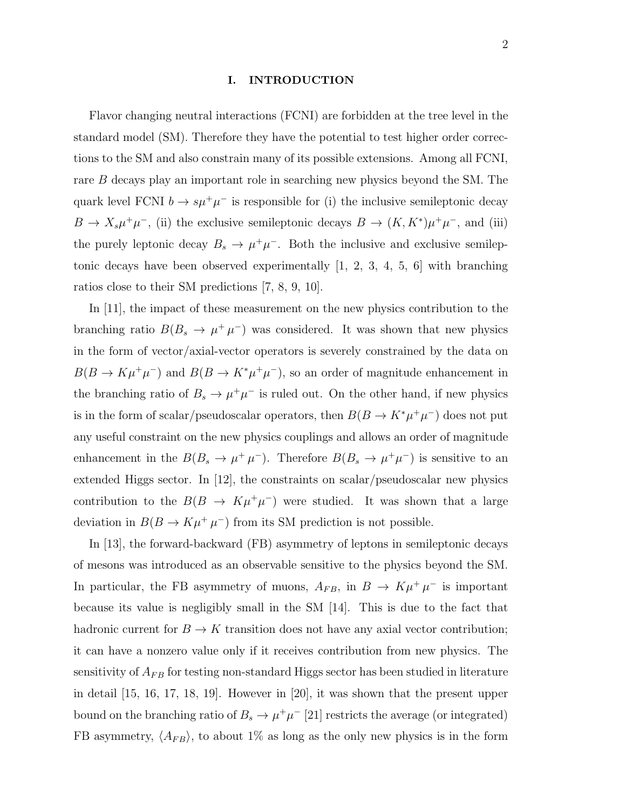#### I. INTRODUCTION

Flavor changing neutral interactions (FCNI) are forbidden at the tree level in the standard model (SM). Therefore they have the potential to test higher order corrections to the SM and also constrain many of its possible extensions. Among all FCNI, rare B decays play an important role in searching new physics beyond the SM. The quark level FCNI  $b \to s\mu^+\mu^-$  is responsible for (i) the inclusive semileptonic decay  $B \to X_s \mu^+ \mu^-$ , (ii) the exclusive semileptonic decays  $B \to (K, K^*) \mu^+ \mu^-$ , and (iii) the purely leptonic decay  $B_s \to \mu^+\mu^-$ . Both the inclusive and exclusive semileptonic decays have been observed experimentally [1, 2, 3, 4, 5, 6] with branching ratios close to their SM predictions [7, 8, 9, 10].

In [11], the impact of these measurement on the new physics contribution to the branching ratio  $B(B_s \to \mu^+ \mu^-)$  was considered. It was shown that new physics in the form of vector/axial-vector operators is severely constrained by the data on  $B(B \to K\mu^+\mu^-)$  and  $B(B \to K^*\mu^+\mu^-)$ , so an order of magnitude enhancement in the branching ratio of  $B_s \to \mu^+\mu^-$  is ruled out. On the other hand, if new physics is in the form of scalar/pseudoscalar operators, then  $B(B \to K^* \mu^+ \mu^-)$  does not put any useful constraint on the new physics couplings and allows an order of magnitude enhancement in the  $B(B_s \to \mu^+ \mu^-)$ . Therefore  $B(B_s \to \mu^+ \mu^-)$  is sensitive to an extended Higgs sector. In [12], the constraints on scalar/pseudoscalar new physics contribution to the  $B(B \to K\mu^+\mu^-)$  were studied. It was shown that a large deviation in  $B(B \to K\mu^+\mu^-)$  from its SM prediction is not possible.

In [13], the forward-backward (FB) asymmetry of leptons in semileptonic decays of mesons was introduced as an observable sensitive to the physics beyond the SM. In particular, the FB asymmetry of muons,  $A_{FB}$ , in  $B \to K \mu^+ \mu^-$  is important because its value is negligibly small in the SM [14]. This is due to the fact that hadronic current for  $B \to K$  transition does not have any axial vector contribution; it can have a nonzero value only if it receives contribution from new physics. The sensitivity of  $A_{FB}$  for testing non-standard Higgs sector has been studied in literature in detail [15, 16, 17, 18, 19]. However in [20], it was shown that the present upper bound on the branching ratio of  $B_s \to \mu^+\mu^-$  [21] restricts the average (or integrated) FB asymmetry,  $\langle A_{FB} \rangle$ , to about 1% as long as the only new physics is in the form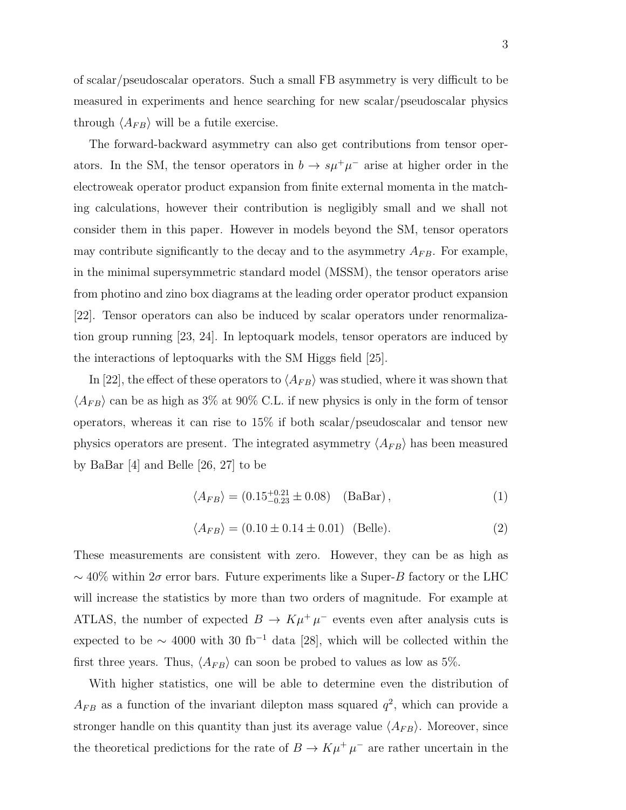of scalar/pseudoscalar operators. Such a small FB asymmetry is very difficult to be measured in experiments and hence searching for new scalar/pseudoscalar physics through  $\langle A_{FB} \rangle$  will be a futile exercise.

The forward-backward asymmetry can also get contributions from tensor operators. In the SM, the tensor operators in  $b \to s\mu^+\mu^-$  arise at higher order in the electroweak operator product expansion from finite external momenta in the matching calculations, however their contribution is negligibly small and we shall not consider them in this paper. However in models beyond the SM, tensor operators may contribute significantly to the decay and to the asymmetry  $A_{FB}$ . For example, in the minimal supersymmetric standard model (MSSM), the tensor operators arise from photino and zino box diagrams at the leading order operator product expansion [22]. Tensor operators can also be induced by scalar operators under renormalization group running [23, 24]. In leptoquark models, tensor operators are induced by the interactions of leptoquarks with the SM Higgs field [25].

In [22], the effect of these operators to  $\langle A_{FB} \rangle$  was studied, where it was shown that  $\langle A_{FB} \rangle$  can be as high as 3% at 90% C.L. if new physics is only in the form of tensor operators, whereas it can rise to 15% if both scalar/pseudoscalar and tensor new physics operators are present. The integrated asymmetry  $\langle A_{FB} \rangle$  has been measured by BaBar [4] and Belle [26, 27] to be

$$
\langle A_{FB} \rangle = (0.15^{+0.21}_{-0.23} \pm 0.08) \quad \text{(BaBar)}\,,\tag{1}
$$

$$
\langle A_{FB} \rangle = (0.10 \pm 0.14 \pm 0.01) \text{ (Belle)}.
$$
 (2)

These measurements are consistent with zero. However, they can be as high as  $\sim$  40% within 2 $\sigma$  error bars. Future experiments like a Super-B factory or the LHC will increase the statistics by more than two orders of magnitude. For example at ATLAS, the number of expected  $B \to K\mu^{+}\mu^{-}$  events even after analysis cuts is expected to be  $\sim$  4000 with 30 fb<sup>-1</sup> data [28], which will be collected within the first three years. Thus,  $\langle A_{FB} \rangle$  can soon be probed to values as low as 5%.

With higher statistics, one will be able to determine even the distribution of  $A_{FB}$  as a function of the invariant dilepton mass squared  $q^2$ , which can provide a stronger handle on this quantity than just its average value  $\langle A_{FB} \rangle$ . Moreover, since the theoretical predictions for the rate of  $B \to K \mu^+ \mu^-$  are rather uncertain in the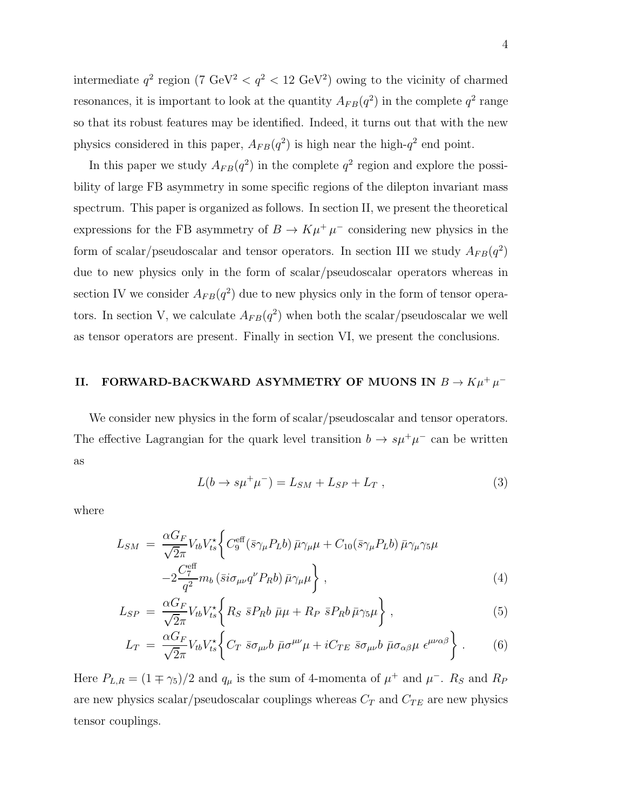intermediate  $q^2$  region (7 GeV<sup>2</sup>  $\langle q^2 \rangle$  = 12 GeV<sup>2</sup>) owing to the vicinity of charmed resonances, it is important to look at the quantity  $A_{FB}(q^2)$  in the complete  $q^2$  range so that its robust features may be identified. Indeed, it turns out that with the new physics considered in this paper,  $A_{FB}(q^2)$  is high near the high- $q^2$  end point.

In this paper we study  $A_{FB}(q^2)$  in the complete  $q^2$  region and explore the possibility of large FB asymmetry in some specific regions of the dilepton invariant mass spectrum. This paper is organized as follows. In section II, we present the theoretical expressions for the FB asymmetry of  $B \to K \mu^+ \mu^-$  considering new physics in the form of scalar/pseudoscalar and tensor operators. In section III we study  $A_{FB}(q^2)$ due to new physics only in the form of scalar/pseudoscalar operators whereas in section IV we consider  $A_{FB}(q^2)$  due to new physics only in the form of tensor operators. In section V, we calculate  $A_{FB}(q^2)$  when both the scalar/pseudoscalar we well as tensor operators are present. Finally in section VI, we present the conclusions.

## II. FORWARD-BACKWARD ASYMMETRY OF MUONS IN  $B \to K \mu^+ \mu^-$

We consider new physics in the form of scalar/pseudoscalar and tensor operators. The effective Lagrangian for the quark level transition  $b \to s\mu^+\mu^-$  can be written as

$$
L(b \to s\mu^{+}\mu^{-}) = L_{SM} + L_{SP} + L_{T} , \qquad (3)
$$

where

$$
L_{SM} = \frac{\alpha G_F}{\sqrt{2\pi}} V_{tb} V_{ts}^* \left\{ C_9^{\text{eff}} (\bar{s} \gamma_\mu P_L b) \bar{\mu} \gamma_\mu \mu + C_{10} (\bar{s} \gamma_\mu P_L b) \bar{\mu} \gamma_\mu \gamma_5 \mu \right. \\ \left. - 2 \frac{C_7^{\text{eff}}}{q^2} m_b (\bar{s} i \sigma_{\mu\nu} q^\nu P_R b) \bar{\mu} \gamma_\mu \mu \right\} \,, \tag{4}
$$

$$
L_{SP} = \frac{\alpha G_F}{\sqrt{2}\pi} V_{tb} V_{ts}^* \left\{ R_S \ \bar{s} P_R b \ \bar{\mu}\mu + R_P \ \bar{s} P_R b \ \bar{\mu}\gamma_5\mu \right\},\tag{5}
$$

$$
L_T = \frac{\alpha G_F}{\sqrt{2}\pi} V_{tb} V_{ts}^* \bigg\{ C_T \bar{s} \sigma_{\mu\nu} b \bar{\mu} \sigma^{\mu\nu} \mu + i C_{TE} \bar{s} \sigma_{\mu\nu} b \bar{\mu} \sigma_{\alpha\beta} \mu \epsilon^{\mu\nu\alpha\beta} \bigg\} \ . \tag{6}
$$

Here  $P_{L,R} = (1 \mp \gamma_5)/2$  and  $q_\mu$  is the sum of 4-momenta of  $\mu^+$  and  $\mu^-$ .  $R_S$  and  $R_P$ are new physics scalar/pseudoscalar couplings whereas  $C_T$  and  $C_{TE}$  are new physics tensor couplings.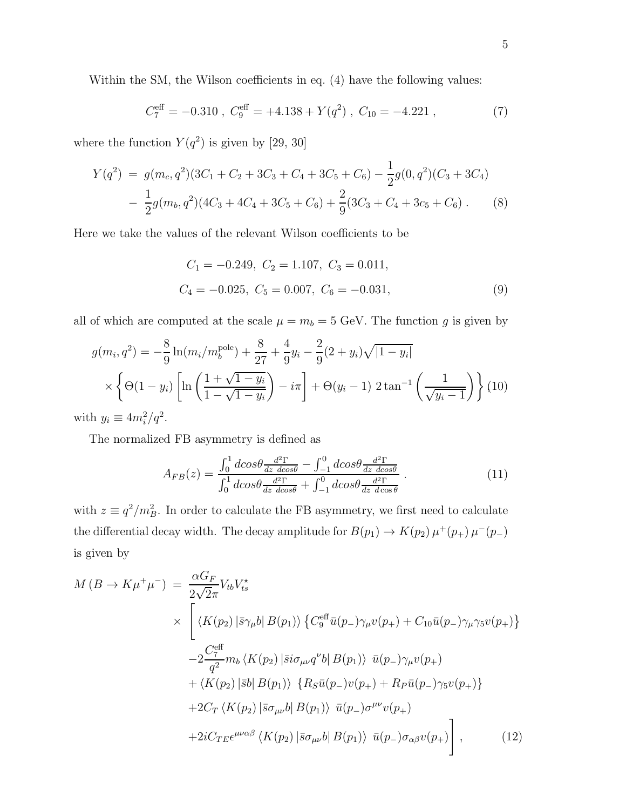Within the SM, the Wilson coefficients in eq.  $(4)$  have the following values:

$$
C_7^{\text{eff}} = -0.310 \ , \ C_9^{\text{eff}} = +4.138 + Y(q^2) \ , \ C_{10} = -4.221 \ , \tag{7}
$$

where the function  $Y(q^2)$  is given by [29, 30]

$$
Y(q^2) = g(m_c, q^2)(3C_1 + C_2 + 3C_3 + C_4 + 3C_5 + C_6) - \frac{1}{2}g(0, q^2)(C_3 + 3C_4)
$$
  

$$
- \frac{1}{2}g(m_b, q^2)(4C_3 + 4C_4 + 3C_5 + C_6) + \frac{2}{9}(3C_3 + C_4 + 3C_5 + C_6).
$$
 (8)

Here we take the values of the relevant Wilson coefficients to be

$$
C_1 = -0.249, C_2 = 1.107, C_3 = 0.011,
$$
  
\n $C_4 = -0.025, C_5 = 0.007, C_6 = -0.031,$ \n(9)

all of which are computed at the scale  $\mu = m_b = 5$  GeV. The function g is given by

$$
g(m_i, q^2) = -\frac{8}{9} \ln(m_i/m_b^{\text{pole}}) + \frac{8}{27} + \frac{4}{9} y_i - \frac{2}{9} (2 + y_i) \sqrt{|1 - y_i|}
$$
  
 
$$
\times \left\{ \Theta(1 - y_i) \left[ \ln \left( \frac{1 + \sqrt{1 - y_i}}{1 - \sqrt{1 - y_i}} \right) - i\pi \right] + \Theta(y_i - 1) 2 \tan^{-1} \left( \frac{1}{\sqrt{y_i - 1}} \right) \right\} (10)
$$
  
h  $y_i \equiv 4m^2/c^2$ 

with  $y_i \equiv 4m_i^2/q^2$ .

The normalized FB asymmetry is defined as

$$
A_{FB}(z) = \frac{\int_0^1 d\cos\theta \frac{d^2\Gamma}{dz \, d\cos\theta} - \int_{-1}^0 d\cos\theta \frac{d^2\Gamma}{dz \, d\cos\theta}}{\int_0^1 d\cos\theta \frac{d^2\Gamma}{dz \, d\cos\theta} + \int_{-1}^0 d\cos\theta \frac{d^2\Gamma}{dz \, d\cos\theta}}.
$$
(11)

with  $z \equiv q^2/m_B^2$ . In order to calculate the FB asymmetry, we first need to calculate the differential decay width. The decay amplitude for  $B(p_1) \to K(p_2) \mu^+(p_+) \mu^-(p_-)$ is given by

$$
M(B \to K\mu^{+}\mu^{-}) = \frac{\alpha G_F}{2\sqrt{2}\pi} V_{tb} V_{ts}^{\star}
$$
  
\n
$$
\times \left[ \langle K(p_2) | \bar{s}\gamma_{\mu} b | B(p_1) \rangle \left\{ C_9^{\text{eff}} \bar{u}(p_-) \gamma_{\mu} v(p_+) + C_{10} \bar{u}(p_-) \gamma_{\mu} \gamma_5 v(p_+) \right\} \right.
$$
  
\n
$$
-2 \frac{C_7^{\text{eff}}}{q^2} m_b \langle K(p_2) | \bar{s} i\sigma_{\mu\nu} q^{\nu} b | B(p_1) \rangle \bar{u}(p_-) \gamma_{\mu} v(p_+) + \langle K(p_2) | \bar{s} b | B(p_1) \rangle \left\{ R_S \bar{u}(p_-) v(p_+) + R_P \bar{u}(p_-) \gamma_5 v(p_+) \right\} \right.
$$
  
\n
$$
+ 2C_T \langle K(p_2) | \bar{s}\sigma_{\mu\nu} b | B(p_1) \rangle \bar{u}(p_-) \sigma^{\mu\nu} v(p_+) + 2i C_{TE} \epsilon^{\mu\nu\alpha\beta} \langle K(p_2) | \bar{s}\sigma_{\mu\nu} b | B(p_1) \rangle \bar{u}(p_-) \sigma_{\alpha\beta} v(p_+) \right], \qquad (12)
$$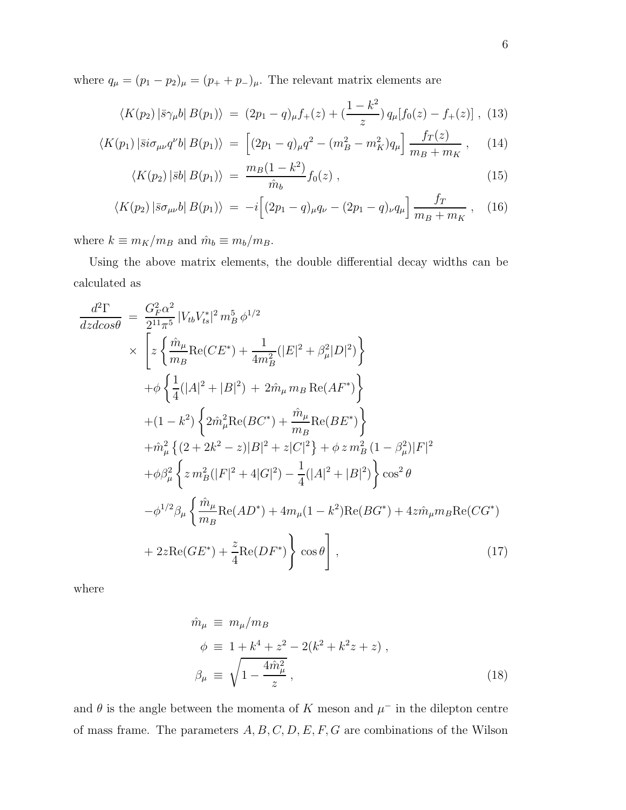where  $q_{\mu} = (p_1 - p_2)_{\mu} = (p_+ + p_-)_{\mu}$ . The relevant matrix elements are

$$
\langle K(p_2) | \bar{s} \gamma_\mu b | B(p_1) \rangle = (2p_1 - q)_\mu f_+(z) + \left(\frac{1 - k^2}{z}\right) q_\mu [f_0(z) - f_+(z)] , \tag{13}
$$

$$
\langle K(p_1) | \bar{s} i \sigma_{\mu\nu} q^{\nu} b | B(p_1) \rangle = \left[ (2p_1 - q)_{\mu} q^2 - (m_B^2 - m_K^2) q_{\mu} \right] \frac{f_T(z)}{m_B + m_K}, \quad (14)
$$

$$
\langle K(p_2) | \bar{s}b | B(p_1) \rangle = \frac{m_B(1 - k^2)}{\hat{m}_b} f_0(z) , \qquad (15)
$$

$$
\langle K(p_2) | \bar{s} \sigma_{\mu\nu} b | B(p_1) \rangle = -i \Big[ (2p_1 - q)_{\mu} q_{\nu} - (2p_1 - q)_{\nu} q_{\mu} \Big] \frac{f_T}{m_B + m_K} , \quad (16)
$$

where  $k \equiv m_K/m_B$  and  $\hat{m}_b \equiv m_b/m_B.$ 

Using the above matrix elements, the double differential decay widths can be calculated as

$$
\frac{d^2\Gamma}{dz dcos\theta} = \frac{G_F^2 \alpha^2}{2^{11} \pi^5} |V_{tb} V_{ts}^*|^2 m_B^5 \phi^{1/2}
$$
\n
$$
\times \left[ z \left\{ \frac{\hat{m}_{\mu}}{m_B} \text{Re}(CE^*) + \frac{1}{4m_B^2} (|E|^2 + \beta_{\mu}^2 |D|^2) \right\} + \phi \left\{ \frac{1}{4} (|A|^2 + |B|^2) + 2\hat{m}_{\mu} m_B \text{Re}(AF^*) \right\} + (1 - k^2) \left\{ 2\hat{m}_{\mu}^2 \text{Re}(BC^*) + \frac{\hat{m}_{\mu}}{m_B} \text{Re}(BE^*) \right\} + \hat{m}_{\mu}^2 \left\{ (2 + 2k^2 - z) |B|^2 + z |C|^2 \right\} + \phi z m_B^2 (1 - \beta_{\mu}^2) |F|^2 + \phi \beta_{\mu}^2 \left\{ z m_B^2 (|F|^2 + 4|G|^2) - \frac{1}{4} (|A|^2 + |B|^2) \right\} \cos^2 \theta
$$
\n
$$
- \phi^{1/2} \beta_{\mu} \left\{ \frac{\hat{m}_{\mu}}{m_B} \text{Re}(AD^*) + 4m_{\mu} (1 - k^2) \text{Re}(BG^*) + 4z \hat{m}_{\mu} m_B \text{Re}(CG^*) + 2z \text{Re}(GE^*) + \frac{z}{4} \text{Re}(DF^*) \right\} \cos \theta \right], \qquad (17)
$$

where

$$
\hat{m}_{\mu} \equiv m_{\mu}/m_B
$$
\n
$$
\phi \equiv 1 + k^4 + z^2 - 2(k^2 + k^2 z + z) ,
$$
\n
$$
\beta_{\mu} \equiv \sqrt{1 - \frac{4\hat{m}_{\mu}^2}{z}} ,
$$
\n(18)

and  $\theta$  is the angle between the momenta of K meson and  $\mu^-$  in the dilepton centre of mass frame. The parameters  $A,B,C,D,E,F,G$  are combinations of the Wilson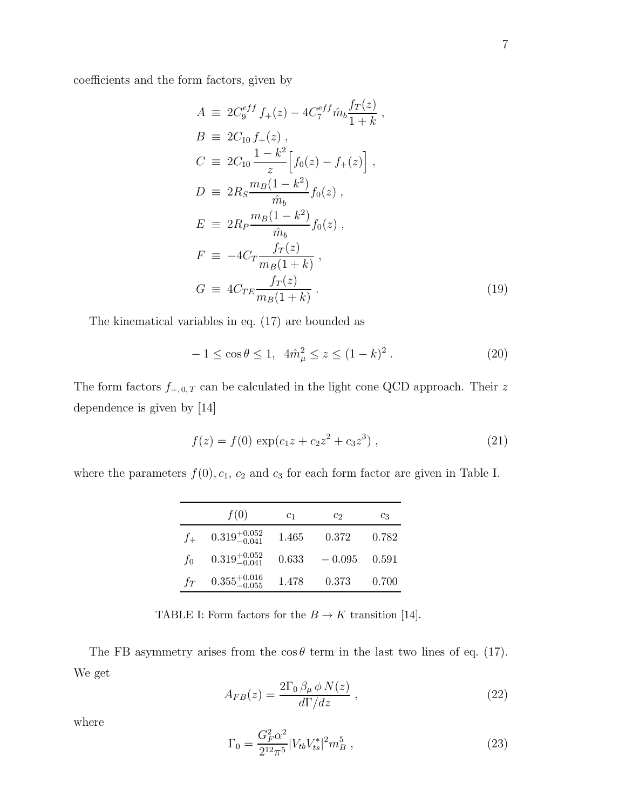coefficients and the form factors, given by

$$
A \equiv 2C_9^{eff} f_+(z) - 4C_7^{eff} \hat{m}_b \frac{f_T(z)}{1+k} ,
$$
  
\n
$$
B \equiv 2C_{10} f_+(z) ,
$$
  
\n
$$
C \equiv 2C_{10} \frac{1 - k^2}{z} \Big[ f_0(z) - f_+(z) \Big] ,
$$
  
\n
$$
D \equiv 2R_S \frac{m_B(1 - k^2)}{\hat{m}_b} f_0(z) ,
$$
  
\n
$$
E \equiv 2R_P \frac{m_B(1 - k^2)}{\hat{m}_b} f_0(z) ,
$$
  
\n
$$
F \equiv -4C_T \frac{f_T(z)}{m_B(1 + k)} ,
$$
  
\n
$$
G \equiv 4C_{TE} \frac{f_T(z)}{m_B(1 + k)} .
$$
\n(19)

The kinematical variables in eq. (17) are bounded as

$$
-1 \le \cos \theta \le 1, \ \ 4\hat{m}_{\mu}^{2} \le z \le (1-k)^{2} \ . \tag{20}
$$

The form factors  $f_{+,0,T}$  can be calculated in the light cone QCD approach. Their z dependence is given by [14]

$$
f(z) = f(0) \exp(c_1 z + c_2 z^2 + c_3 z^3) , \qquad (21)
$$

where the parameters  $f(0), c_1, c_2$  and  $c_3$  for each form factor are given in Table I.

|         | f(0)                      | $c_1$ | C9.      | CЗ    |
|---------|---------------------------|-------|----------|-------|
| $f_{+}$ | $0.319^{+0.052}_{-0.041}$ | 1.465 | 0.372    | 0.782 |
| $f_0$   | $0.319_{-0.041}^{+0.052}$ | 0.633 | $-0.095$ | 0.591 |
| $f_T$   | $0.355_{-0.055}^{+0.016}$ | 1.478 | 0.373    | 0.700 |

TABLE I: Form factors for the  $B\to K$  transition [14].

The FB asymmetry arises from the  $\cos \theta$  term in the last two lines of eq. (17). We get

$$
A_{FB}(z) = \frac{2\Gamma_0 \beta_\mu \phi N(z)}{d\Gamma/dz},\qquad(22)
$$

where

$$
\Gamma_0 = \frac{G_F^2 \alpha^2}{2^{12} \pi^5} |V_{tb} V_{ts}^*|^2 m_B^5 \,, \tag{23}
$$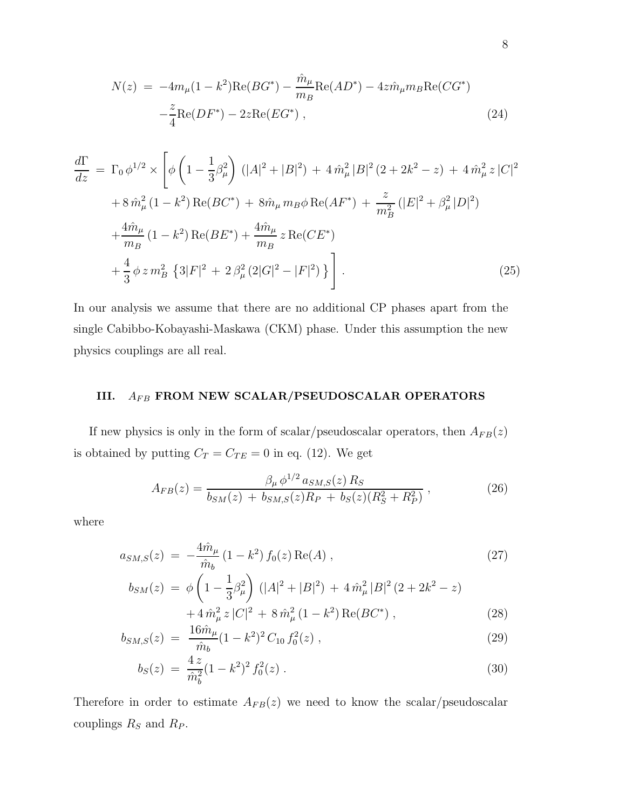$$
N(z) = -4m_{\mu}(1 - k^2)Re(BG^*) - \frac{\hat{m}_{\mu}}{m_B}Re(AD^*) - 4z\hat{m}_{\mu}m_BRe(CG^*) - \frac{z}{4}Re(DF^*) - 2zRe(EG^*) ,
$$
\n(24)

$$
\frac{d\Gamma}{dz} = \Gamma_0 \phi^{1/2} \times \left[ \phi \left( 1 - \frac{1}{3} \beta_\mu^2 \right) \left( |A|^2 + |B|^2 \right) + 4 \hat{m}_\mu^2 |B|^2 (2 + 2k^2 - z) + 4 \hat{m}_\mu^2 z |C|^2 \right. \\
\left. + 8 \hat{m}_\mu^2 (1 - k^2) \operatorname{Re}(BC^*) + 8 \hat{m}_\mu m_B \phi \operatorname{Re}(AF^*) + \frac{z}{m_B^2} \left( |E|^2 + \beta_\mu^2 |D|^2 \right) \right. \\
\left. + \frac{4 \hat{m}_\mu}{m_B} (1 - k^2) \operatorname{Re}(BE^*) + \frac{4 \hat{m}_\mu}{m_B} z \operatorname{Re}(CE^*) \right. \\
\left. + \frac{4}{3} \phi z m_B^2 \left\{ 3 |F|^2 + 2 \beta_\mu^2 (2|G|^2 - |F|^2) \right\} \right].\n\tag{25}
$$

In our analysis we assume that there are no additional CP phases apart from the single Cabibbo-Kobayashi-Maskawa (CKM) phase. Under this assumption the new physics couplings are all real.

## III.  $\ A_{FB}$  FROM NEW SCALAR/PSEUDOSCALAR OPERATORS

If new physics is only in the form of scalar/pseudoscalar operators, then  $A_{FB}(z)$ is obtained by putting  $C_T = C_{TE} = 0$  in eq. (12). We get

$$
A_{FB}(z) = \frac{\beta_{\mu} \phi^{1/2} a_{SM,S}(z) R_S}{b_{SM}(z) + b_{SM,S}(z) R_P + b_S(z) (R_S^2 + R_P^2)},
$$
(26)

where

$$
a_{SM,S}(z) = -\frac{4\hat{m}_{\mu}}{\hat{m}_{b}} (1 - k^2) f_0(z) \operatorname{Re}(A) , \qquad (27)
$$

$$
b_{SM}(z) = \phi \left( 1 - \frac{1}{3} \beta_{\mu}^{2} \right) \left( |A|^{2} + |B|^{2} \right) + 4 \hat{m}_{\mu}^{2} |B|^{2} (2 + 2k^{2} - z) + 4 \hat{m}_{\mu}^{2} z |C|^{2} + 8 \hat{m}_{\mu}^{2} (1 - k^{2}) \operatorname{Re}(BC^{*}),
$$
\n(28)

$$
b_{SM,S}(z) = \frac{16\hat{m}_{\mu}}{\hat{m}_{b}}(1-k^2)^2 C_{10} f_0^2(z) , \qquad (29)
$$

$$
b_S(z) = \frac{4z}{\hat{m}_b^2} (1 - k^2)^2 f_0^2(z) \,. \tag{30}
$$

Therefore in order to estimate  $A_{FB}(z)$  we need to know the scalar/pseudoscalar couplings  $R_S$  and  $R_P$ .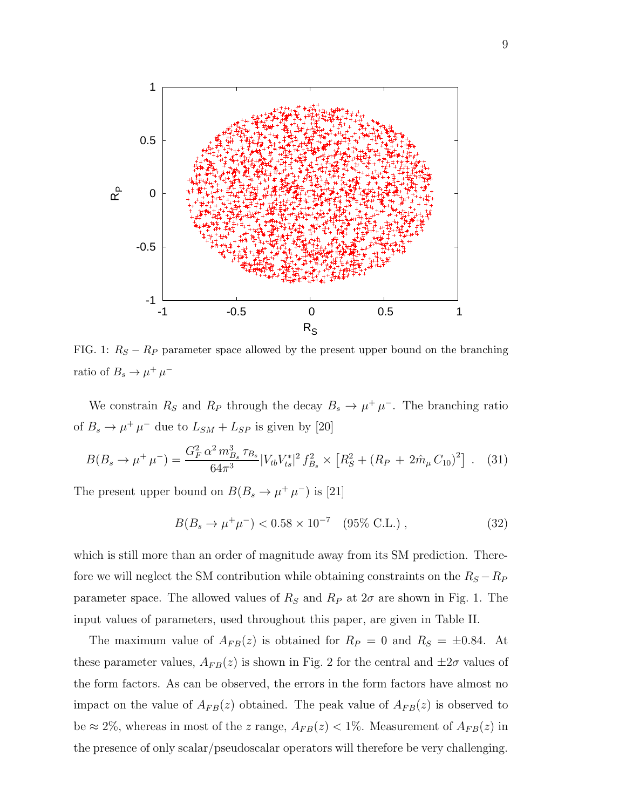

FIG. 1:  $R_S - R_P$  parameter space allowed by the present upper bound on the branching ratio of  $B_s \to \mu^+ \mu^-$ 

We constrain  $R_S$  and  $R_P$  through the decay  $B_s \to \mu^+ \mu^-$ . The branching ratio of  $B_s \to \mu^+ \mu^-$  due to  $L_{SM} + L_{SP}$  is given by [20]

$$
B(B_s \to \mu^+ \mu^-) = \frac{G_F^2 \alpha^2 m_{B_s}^3 \tau_{B_s}}{64\pi^3} |V_{tb}V_{ts}^*|^2 f_{B_s}^2 \times \left[ R_S^2 + (R_P + 2\hat{m}_\mu C_{10})^2 \right] . \tag{31}
$$

The present upper bound on  $B(B_s \to \mu^+ \mu^-)$  is [21]

$$
B(B_s \to \mu^+ \mu^-) < 0.58 \times 10^{-7} \quad (95\% \, \text{C.L.}) \,, \tag{32}
$$

which is still more than an order of magnitude away from its SM prediction. Therefore we will neglect the SM contribution while obtaining constraints on the  $R_S - R_P$ parameter space. The allowed values of  $R_S$  and  $R_P$  at  $2\sigma$  are shown in Fig. 1. The input values of parameters, used throughout this paper, are given in Table II.

The maximum value of  $A_{FB}(z)$  is obtained for  $R_P = 0$  and  $R_S = \pm 0.84$ . At these parameter values,  $A_{FB}(z)$  is shown in Fig. 2 for the central and  $\pm 2\sigma$  values of the form factors. As can be observed, the errors in the form factors have almost no impact on the value of  $A_{FB}(z)$  obtained. The peak value of  $A_{FB}(z)$  is observed to be  $\approx 2\%$ , whereas in most of the z range,  $A_{FB}(z) < 1\%$ . Measurement of  $A_{FB}(z)$  in the presence of only scalar/pseudoscalar operators will therefore be very challenging.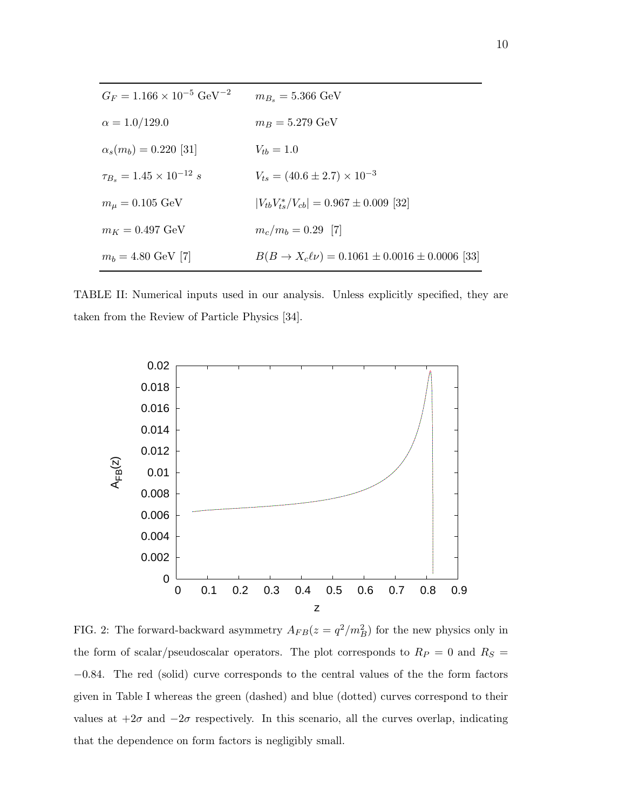| $G_F = 1.166 \times 10^{-5} \text{ GeV}^{-2}$ | $m_{B_s} = 5.366 \text{ GeV}$                               |
|-----------------------------------------------|-------------------------------------------------------------|
| $\alpha = 1.0/129.0$                          | $m_B = 5.279 \text{ GeV}$                                   |
| $\alpha_s(m_b) = 0.220$ [31]                  | $V_{tb} = 1.0$                                              |
| $\tau_{B_s} = 1.45 \times 10^{-12} s$         | $V_{ts} = (40.6 \pm 2.7) \times 10^{-3}$                    |
| $m_{\mu} = 0.105 \text{ GeV}$                 | $ V_{tb}V_{ts}^*/V_{cb}  = 0.967 \pm 0.009$ [32]            |
| $m_K = 0.497 \text{ GeV}$                     | $m_c/m_b = 0.29$ [7]                                        |
| $m_b = 4.80 \text{ GeV}$ [7]                  | $B(B \to X_c \ell \nu) = 0.1061 \pm 0.0016 \pm 0.0006$ [33] |

TABLE II: Numerical inputs used in our analysis. Unless explicitly specified, they are taken from the Review of Particle Physics [34].



FIG. 2: The forward-backward asymmetry  $A_{FB}(z = q^2/m_B^2)$  for the new physics only in the form of scalar/pseudoscalar operators. The plot corresponds to  $R_P\,=\,0$  and  $R_S\,=\,$ −0.84. The red (solid) curve corresponds to the central values of the the form factors given in Table I whereas the green (dashed) and blue (dotted) curves correspond to their values at  $+2\sigma$  and  $-2\sigma$  respectively. In this scenario, all the curves overlap, indicating that the dependence on form factors is negligibly small.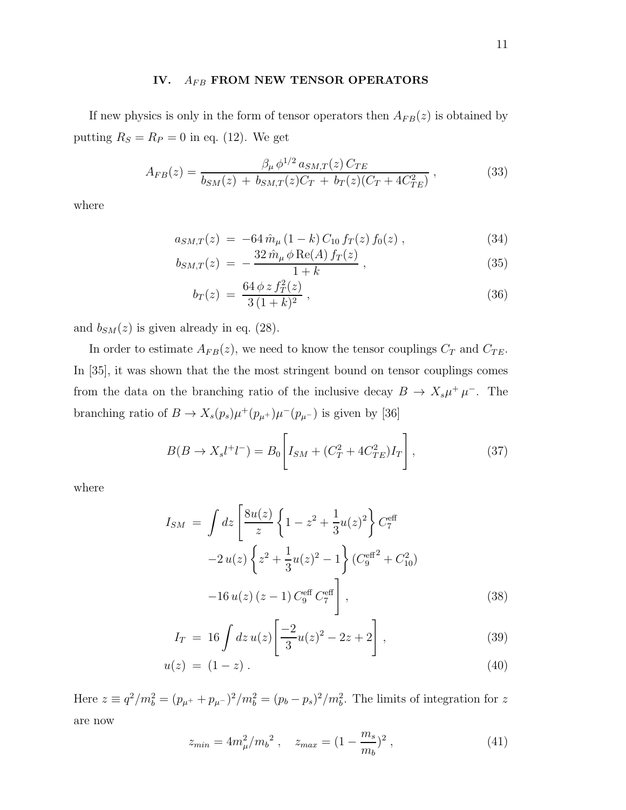### IV.  $A_{FB}$  FROM NEW TENSOR OPERATORS

If new physics is only in the form of tensor operators then  $A_{FB}(z)$  is obtained by putting  $R_S = R_P = 0$  in eq. (12). We get

$$
A_{FB}(z) = \frac{\beta_{\mu} \phi^{1/2} a_{SM,T}(z) C_{TE}}{b_{SM}(z) + b_{SM,T}(z) C_T + b_T(z) (C_T + 4C_{TE}^2)},
$$
(33)

where

$$
a_{SM,T}(z) = -64 \,\hat{m}_{\mu} \,(1-k) \,C_{10} \,f_T(z) \,f_0(z) \,, \tag{34}
$$

$$
b_{SM,T}(z) = -\frac{32 \,\hat{m}_{\mu} \,\phi \,\text{Re}(A) \, f_T(z)}{1+k} \,, \tag{35}
$$

$$
b_T(z) = \frac{64 \phi z f_T^2(z)}{3 (1+k)^2},
$$
\n(36)

and  $b_{SM}(z)$  is given already in eq. (28).

In order to estimate  $A_{FB}(z)$ , we need to know the tensor couplings  $C_T$  and  $C_{TE}$ . In [35], it was shown that the the most stringent bound on tensor couplings comes from the data on the branching ratio of the inclusive decay  $B \to X_s \mu^+ \mu^-$ . The branching ratio of  $B \to X_s(p_s)\mu^+(p_{\mu^+})\mu^-(p_{\mu^-})$  is given by [36]

$$
B(B \to X_s l^+ l^-) = B_0 \left[ I_{SM} + (C_T^2 + 4C_{TE}^2) I_T \right],\tag{37}
$$

where

$$
I_{SM} = \int dz \left[ \frac{8u(z)}{z} \left\{ 1 - z^2 + \frac{1}{3} u(z)^2 \right\} C_7^{\text{eff}} -2 u(z) \left\{ z^2 + \frac{1}{3} u(z)^2 - 1 \right\} (C_9^{\text{eff}}^2 + C_{10}^2) -16 u(z) (z - 1) C_9^{\text{eff}} C_7^{\text{eff}} \right],
$$
\n(38)

$$
I_T = 16 \int dz \, u(z) \left[ \frac{-2}{3} u(z)^2 - 2z + 2 \right], \tag{39}
$$

$$
u(z) = (1 - z). \t\t(40)
$$

Here  $z \equiv q^2/m_b^2 = (p_{\mu^+} + p_{\mu^-})^2/m_b^2 = (p_b - p_s)^2/m_b^2$ . The limits of integration for z are now

$$
z_{min} = 4m_{\mu}^2/m_b^2 \ , \quad z_{max} = (1 - \frac{m_s}{m_b})^2 \ , \tag{41}
$$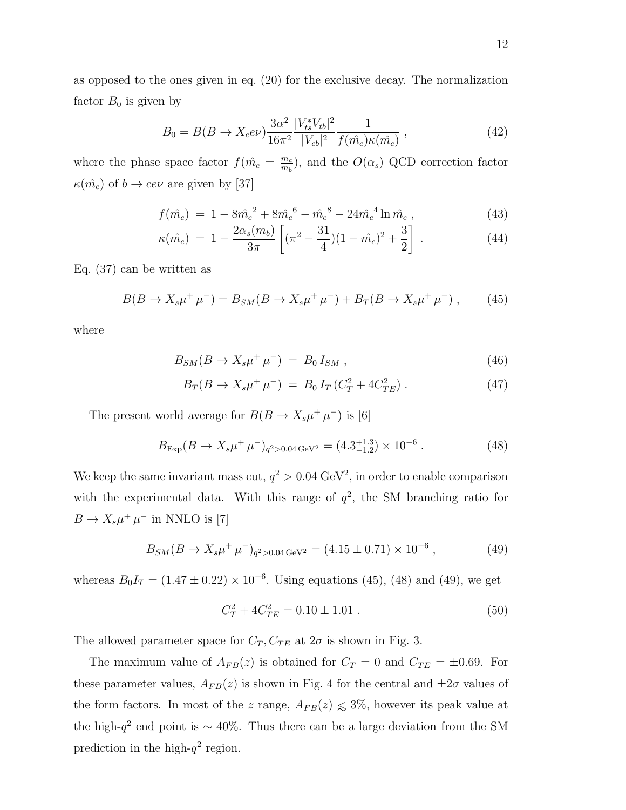as opposed to the ones given in eq. (20) for the exclusive decay. The normalization factor  $B_0$  is given by

$$
B_0 = B(B \to X_c e \nu) \frac{3\alpha^2}{16\pi^2} \frac{|V_{ts}^* V_{tb}|^2}{|V_{cb}|^2} \frac{1}{f(\hat{m_c})\kappa(\hat{m_c})},\tag{42}
$$

where the phase space factor  $f(\hat{m}_c = \frac{m_c}{m_b})$  $\frac{m_c}{m_b}$ ), and the  $O(\alpha_s)$  QCD correction factor  $\kappa(\hat{m}_c)$  of  $b \to c e \nu$  are given by [37]

$$
f(\hat{m}_c) = 1 - 8\hat{m}_c^2 + 8\hat{m}_c^6 - \hat{m}_c^8 - 24\hat{m}_c^4 \ln \hat{m}_c , \qquad (43)
$$

$$
\kappa(\hat{m}_c) = 1 - \frac{2\alpha_s(m_b)}{3\pi} \left[ (\pi^2 - \frac{31}{4})(1 - \hat{m}_c)^2 + \frac{3}{2} \right] \,. \tag{44}
$$

Eq. (37) can be written as

$$
B(B \to X_s \mu^+ \mu^-) = B_{SM}(B \to X_s \mu^+ \mu^-) + B_T(B \to X_s \mu^+ \mu^-) ,\qquad (45)
$$

where

$$
B_{SM}(B \to X_s \mu^+ \mu^-) = B_0 I_{SM} , \qquad (46)
$$

$$
B_T(B \to X_s \mu^+ \mu^-) = B_0 I_T (C_T^2 + 4C_{TE}^2) \,. \tag{47}
$$

The present world average for  $B(B \to X_s \mu^+ \mu^-)$  is [6]

$$
B_{\text{Exp}}(B \to X_s \mu^+ \mu^-)_{q^2 > 0.04 \text{ GeV}^2} = (4.3^{+1.3}_{-1.2}) \times 10^{-6} \,. \tag{48}
$$

We keep the same invariant mass cut,  $q^2 > 0.04 \text{ GeV}^2$ , in order to enable comparison with the experimental data. With this range of  $q^2$ , the SM branching ratio for  $B \to X_s \mu^+ \mu^-$  in NNLO is [7]

$$
B_{SM}(B \to X_s \mu^+ \mu^-)_{q^2 > 0.04 \text{ GeV}^2} = (4.15 \pm 0.71) \times 10^{-6},\tag{49}
$$

whereas  $B_0I_T = (1.47 \pm 0.22) \times 10^{-6}$ . Using equations (45), (48) and (49), we get

$$
C_T^2 + 4C_{TE}^2 = 0.10 \pm 1.01 \,. \tag{50}
$$

The allowed parameter space for  $C_T$ ,  $C_{TE}$  at  $2\sigma$  is shown in Fig. 3.

The maximum value of  $A_{FB}(z)$  is obtained for  $C_T = 0$  and  $C_{TE} = \pm 0.69$ . For these parameter values,  $A_{FB}(z)$  is shown in Fig. 4 for the central and  $\pm 2\sigma$  values of the form factors. In most of the z range,  $A_{FB}(z) \leq 3\%$ , however its peak value at the high- $q^2$  end point is ~ 40%. Thus there can be a large deviation from the SM prediction in the high- $q^2$  region.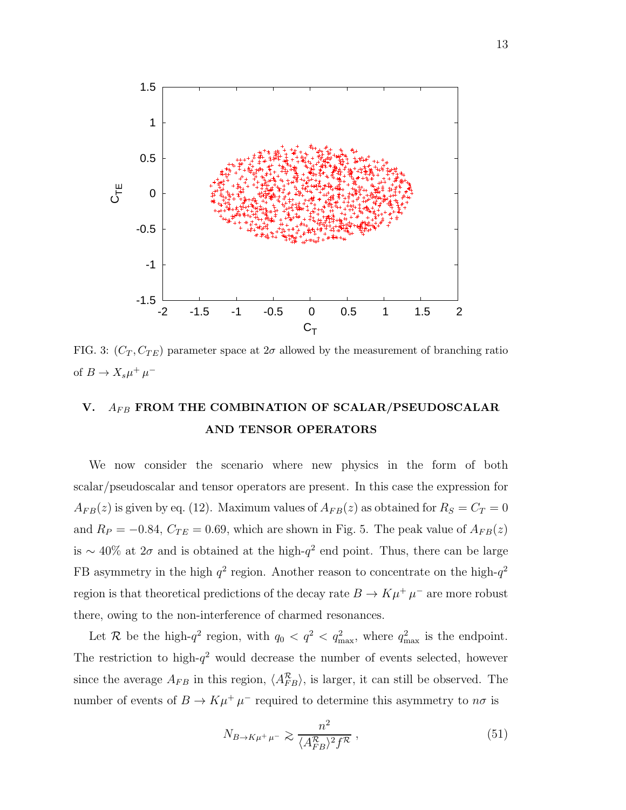

FIG. 3:  $(C_T, C_{TE})$  parameter space at  $2\sigma$  allowed by the measurement of branching ratio of  $B \to X_s \mu^+ \mu^-$ 

## V.  $A_{FB}$  FROM THE COMBINATION OF SCALAR/PSEUDOSCALAR AND TENSOR OPERATORS

We now consider the scenario where new physics in the form of both scalar/pseudoscalar and tensor operators are present. In this case the expression for  $A_{FB}(z)$  is given by eq. (12). Maximum values of  $A_{FB}(z)$  as obtained for  $R_S = C_T = 0$ and  $R_P = -0.84$ ,  $C_{TE} = 0.69$ , which are shown in Fig. 5. The peak value of  $A_{FB}(z)$ is ~ 40% at  $2\sigma$  and is obtained at the high- $q^2$  end point. Thus, there can be large FB asymmetry in the high  $q^2$  region. Another reason to concentrate on the high- $q^2$ region is that theoretical predictions of the decay rate  $B \to K \mu^+ \mu^-$  are more robust there, owing to the non-interference of charmed resonances.

Let R be the high- $q^2$  region, with  $q_0 < q^2 < q_{\text{max}}^2$ , where  $q_{\text{max}}^2$  is the endpoint. The restriction to high- $q^2$  would decrease the number of events selected, however since the average  $A_{FB}$  in this region,  $\langle A_{FB}^R \rangle$ , is larger, it can still be observed. The number of events of  $B \to K\mu^+\mu^-$  required to determine this asymmetry to  $n\sigma$  is

$$
N_{B \to K\mu^+\mu^-} \gtrsim \frac{n^2}{\langle A_{FB}^{\mathcal{R}} \rangle^2 f^{\mathcal{R}}},\tag{51}
$$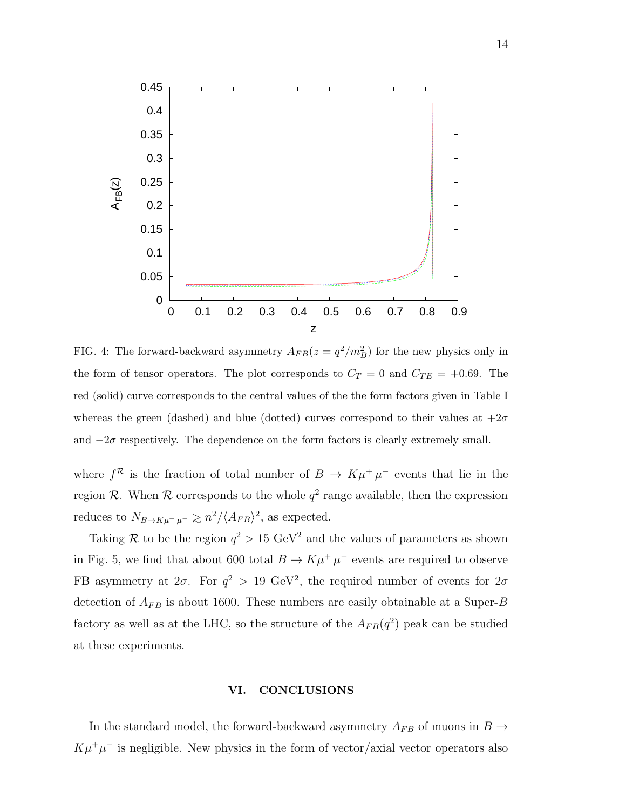

FIG. 4: The forward-backward asymmetry  $A_{FB}(z = q^2/m_B^2)$  for the new physics only in the form of tensor operators. The plot corresponds to  $C_T = 0$  and  $C_{TE} = +0.69$ . The red (solid) curve corresponds to the central values of the the form factors given in Table I whereas the green (dashed) and blue (dotted) curves correspond to their values at  $+2\sigma$ and  $-2\sigma$  respectively. The dependence on the form factors is clearly extremely small.

where  $f^{\mathcal{R}}$  is the fraction of total number of  $B \to K\mu^{+}\mu^{-}$  events that lie in the region  $R$ . When  $R$  corresponds to the whole  $q^2$  range available, then the expression reduces to  $N_{B\to K\mu^+\mu^-} \gtrsim n^2/\langle A_{FB} \rangle^2$ , as expected.

Taking R to be the region  $q^2 > 15 \text{ GeV}^2$  and the values of parameters as shown in Fig. 5, we find that about 600 total  $B \to K\mu^+\mu^-$  events are required to observe FB asymmetry at  $2\sigma$ . For  $q^2 > 19$  GeV<sup>2</sup>, the required number of events for  $2\sigma$ detection of  $A_{FB}$  is about 1600. These numbers are easily obtainable at a Super-B factory as well as at the LHC, so the structure of the  $A_{FB}(q^2)$  peak can be studied at these experiments.

### VI. CONCLUSIONS

In the standard model, the forward-backward asymmetry  $A_{FB}$  of muons in  $B$   $\rightarrow$  $K\mu^+\mu^-$  is negligible. New physics in the form of vector/axial vector operators also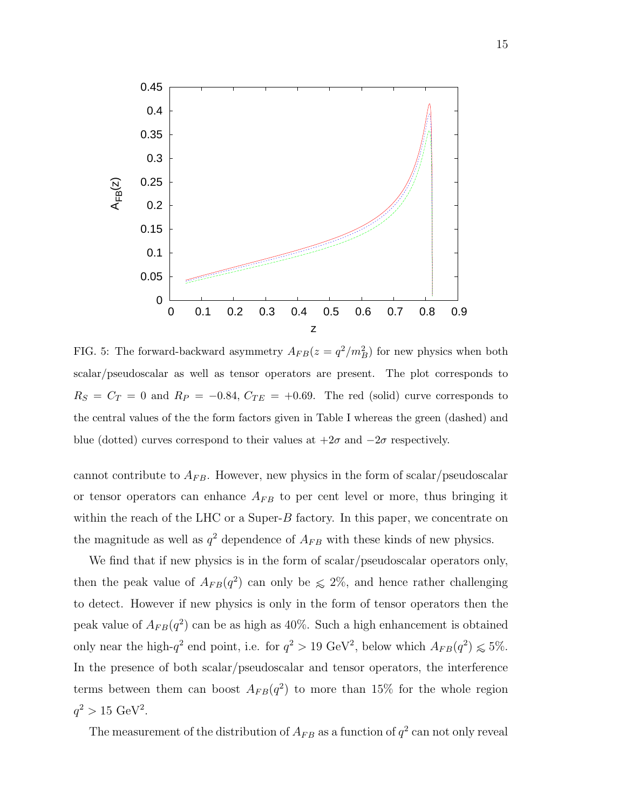

FIG. 5: The forward-backward asymmetry  $A_{FB}(z = q^2/m_B^2)$  for new physics when both scalar/pseudoscalar as well as tensor operators are present. The plot corresponds to  $R_S = C_T = 0$  and  $R_P = -0.84$ ,  $C_{TE} = +0.69$ . The red (solid) curve corresponds to the central values of the the form factors given in Table I whereas the green (dashed) and blue (dotted) curves correspond to their values at  $+2\sigma$  and  $-2\sigma$  respectively.

cannot contribute to  $A_{FB}$ . However, new physics in the form of scalar/pseudoscalar or tensor operators can enhance  $A_{FB}$  to per cent level or more, thus bringing it within the reach of the LHC or a Super- $B$  factory. In this paper, we concentrate on the magnitude as well as  $q^2$  dependence of  $A_{FB}$  with these kinds of new physics.

We find that if new physics is in the form of scalar/pseudoscalar operators only, then the peak value of  $A_{FB}(q^2)$  can only be  $\leq 2\%$ , and hence rather challenging to detect. However if new physics is only in the form of tensor operators then the peak value of  $A_{FB}(q^2)$  can be as high as 40%. Such a high enhancement is obtained only near the high- $q^2$  end point, i.e. for  $q^2 > 19 \text{ GeV}^2$ , below which  $A_{FB}(q^2) \leq 5\%$ . In the presence of both scalar/pseudoscalar and tensor operators, the interference terms between them can boost  $A_{FB}(q^2)$  to more than 15% for the whole region  $q^2 > 15 \text{ GeV}^2$ .

The measurement of the distribution of  $A_{FB}$  as a function of  $q^2$  can not only reveal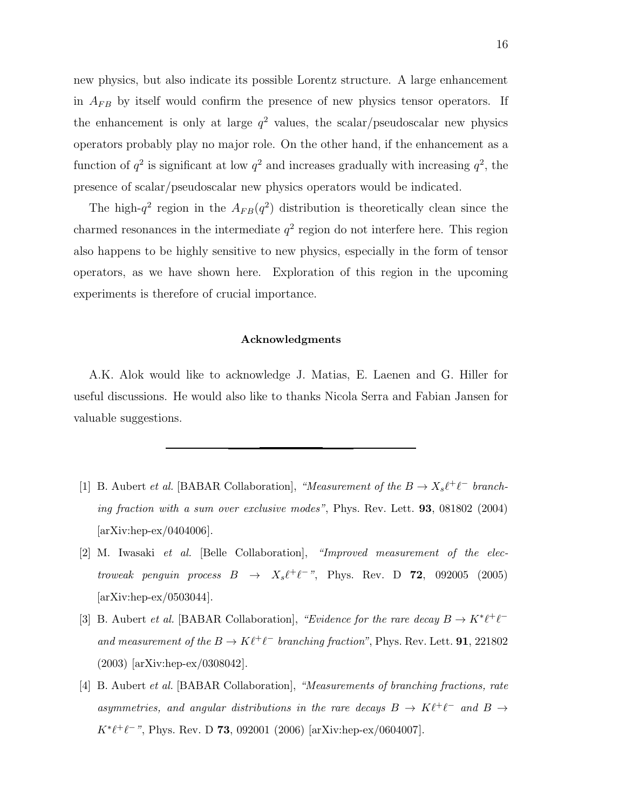new physics, but also indicate its possible Lorentz structure. A large enhancement in  $A_{FB}$  by itself would confirm the presence of new physics tensor operators. If the enhancement is only at large  $q^2$  values, the scalar/pseudoscalar new physics operators probably play no major role. On the other hand, if the enhancement as a function of  $q^2$  is significant at low  $q^2$  and increases gradually with increasing  $q^2$ , the presence of scalar/pseudoscalar new physics operators would be indicated.

The high- $q^2$  region in the  $A_{FB}(q^2)$  distribution is theoretically clean since the charmed resonances in the intermediate  $q^2$  region do not interfere here. This region also happens to be highly sensitive to new physics, especially in the form of tensor operators, as we have shown here. Exploration of this region in the upcoming experiments is therefore of crucial importance.

### Acknowledgments

A.K. Alok would like to acknowledge J. Matias, E. Laenen and G. Hiller for useful discussions. He would also like to thanks Nicola Serra and Fabian Jansen for valuable suggestions.

- [1] B. Aubert *et al.* [BABAR Collaboration], "Measurement of the  $B \to X_s \ell^+ \ell^-$  branching fraction with a sum over exclusive modes", Phys. Rev. Lett. 93, 081802 (2004) [arXiv:hep-ex/0404006].
- [2] M. Iwasaki et al. [Belle Collaboration], "Improved measurement of the electroweak penguin process  $B \rightarrow X_s \ell^+ \ell^-$ ", Phys. Rev. D **72**, 092005 (2005) [arXiv:hep-ex/0503044].
- [3] B. Aubert *et al.* [BABAR Collaboration], "Evidence for the rare decay  $B \to K^* \ell^+ \ell^$ and measurement of the  $B \to K \ell^+ \ell^-$  branching fraction", Phys. Rev. Lett. **91**, 221802 (2003) [arXiv:hep-ex/0308042].
- [4] B. Aubert et al. [BABAR Collaboration], "Measurements of branching fractions, rate asymmetries, and angular distributions in the rare decays  $B \to K \ell^+ \ell^-$  and  $B \to$  $K^* \ell^+ \ell^-$ ", Phys. Rev. D 73, 092001 (2006) [arXiv:hep-ex/0604007].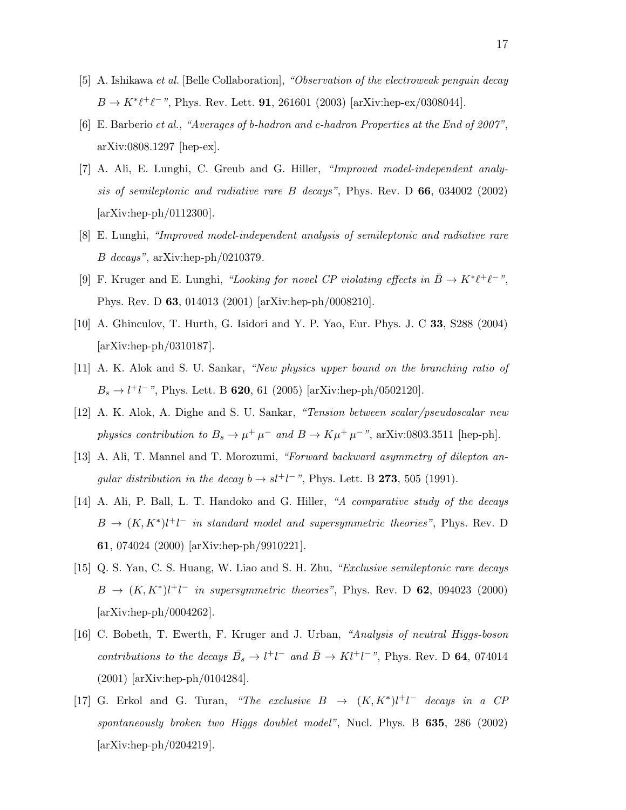- [5] A. Ishikawa et al. [Belle Collaboration], "Observation of the electroweak penguin decay  $B \to K^* \ell^+ \ell^-$ ", Phys. Rev. Lett. **91**, 261601 (2003) [arXiv:hep-ex/0308044].
- [6] E. Barberio et al., "Averages of b-hadron and c-hadron Properties at the End of 2007", arXiv:0808.1297 [hep-ex].
- [7] A. Ali, E. Lunghi, C. Greub and G. Hiller, "Improved model-independent analysis of semileptonic and radiative rare B decays", Phys. Rev. D 66, 034002 (2002) [arXiv:hep-ph/0112300].
- [8] E. Lunghi, "Improved model-independent analysis of semileptonic and radiative rare B decays", arXiv:hep-ph/0210379.
- [9] F. Kruger and E. Lunghi, "Looking for novel CP violating effects in  $\bar{B} \to K^* \ell^+ \ell^-$ ", Phys. Rev. D 63, 014013 (2001) [arXiv:hep-ph/0008210].
- [10] A. Ghinculov, T. Hurth, G. Isidori and Y. P. Yao, Eur. Phys. J. C 33, S288 (2004) [arXiv:hep-ph/0310187].
- [11] A. K. Alok and S. U. Sankar, "New physics upper bound on the branching ratio of  $B_s \to l^+l^-$ ", Phys. Lett. B **620**, 61 (2005) [arXiv:hep-ph/0502120].
- [12] A. K. Alok, A. Dighe and S. U. Sankar, "Tension between scalar/pseudoscalar new physics contribution to  $B_s \to \mu^+ \mu^-$  and  $B \to K \mu^+ \mu^-$ ", arXiv:0803.3511 [hep-ph].
- [13] A. Ali, T. Mannel and T. Morozumi, "Forward backward asymmetry of dilepton angular distribution in the decay  $b \to s l^+ l^-$ ", Phys. Lett. B **273**, 505 (1991).
- [14] A. Ali, P. Ball, L. T. Handoko and G. Hiller, "A comparative study of the decays  $B \to (K, K^*)l^+l^-$  in standard model and supersymmetric theories", Phys. Rev. D 61, 074024 (2000) [arXiv:hep-ph/9910221].
- [15] Q. S. Yan, C. S. Huang, W. Liao and S. H. Zhu, "Exclusive semileptonic rare decays  $B \rightarrow (K, K^*)l^+l^-$  in supersymmetric theories", Phys. Rev. D 62, 094023 (2000) [arXiv:hep-ph/0004262].
- [16] C. Bobeth, T. Ewerth, F. Kruger and J. Urban, "Analysis of neutral Higgs-boson contributions to the decays  $\bar{B}_s \to l^+l^-$  and  $\bar{B} \to Kl^+l^-$ ", Phys. Rev. D 64, 074014 (2001) [arXiv:hep-ph/0104284].
- [17] G. Erkol and G. Turan, "The exclusive  $B \rightarrow (K, K^*) l^+ l^-$  decays in a CP spontaneously broken two Higgs doublet model", Nucl. Phys. B  $635$ ,  $286$   $(2002)$ [arXiv:hep-ph/0204219].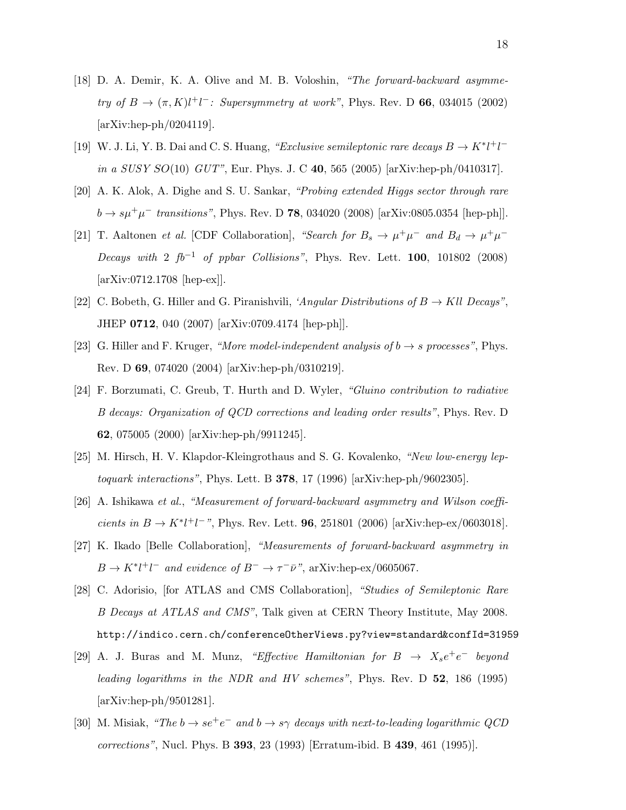- [18] D. A. Demir, K. A. Olive and M. B. Voloshin, "The forward-backward asymmetry of  $B \to (\pi, K)l^+l^-$ : Supersymmetry at work", Phys. Rev. D 66, 034015 (2002) [arXiv:hep-ph/0204119].
- [19] W. J. Li, Y. B. Dai and C. S. Huang, "Exclusive semileptonic rare decays  $B \to K^* l^+ l^$ in a SUSY  $SO(10)$  GUT", Eur. Phys. J. C 40, 565 (2005) [arXiv:hep-ph/0410317].
- [20] A. K. Alok, A. Dighe and S. U. Sankar, "Probing extended Higgs sector through rare  $b \to s\mu^+\mu^-$  transitions", Phys. Rev. D **78**, 034020 (2008) [arXiv:0805.0354 [hep-ph]].
- [21] T. Aaltonen *et al.* [CDF Collaboration], "Search for  $B_s \to \mu^+\mu^-$  and  $B_d \to \mu^+\mu^-$ Decays with 2  $fb^{-1}$  of ppbar Collisions", Phys. Rev. Lett. 100, 101802 (2008) [arXiv:0712.1708 [hep-ex]].
- [22] C. Bobeth, G. Hiller and G. Piranishvili, 'Angular Distributions of  $B \to Kll$  Decays", JHEP 0712, 040 (2007) [arXiv:0709.4174 [hep-ph]].
- [23] G. Hiller and F. Kruger, "More model-independent analysis of  $b \rightarrow s$  processes", Phys. Rev. D 69, 074020 (2004) [arXiv:hep-ph/0310219].
- [24] F. Borzumati, C. Greub, T. Hurth and D. Wyler, "Gluino contribution to radiative B decays: Organization of QCD corrections and leading order results", Phys. Rev. D 62, 075005 (2000) [arXiv:hep-ph/9911245].
- [25] M. Hirsch, H. V. Klapdor-Kleingrothaus and S. G. Kovalenko, "New low-energy leptoquark interactions", Phys. Lett. B  $378$ , 17 (1996) [arXiv:hep-ph/9602305].
- [26] A. Ishikawa et al., "Measurement of forward-backward asymmetry and Wilson coefficients in  $B \to K^* l^+ l^-$ ", Phys. Rev. Lett. **96**, 251801 (2006) [arXiv:hep-ex/0603018].
- [27] K. Ikado [Belle Collaboration], "Measurements of forward-backward asymmetry in  $B \to K^* l^+ l^-$  and evidence of  $B^- \to \tau^- \bar{\nu}$ ", arXiv:hep-ex/0605067.
- [28] C. Adorisio, [for ATLAS and CMS Collaboration], "Studies of Semileptonic Rare B Decays at ATLAS and CMS", Talk given at CERN Theory Institute, May 2008. http://indico.cern.ch/conferenceOtherViews.py?view=standard&confId=31959
- [29] A. J. Buras and M. Munz, "Effective Hamiltonian for  $B \rightarrow X_s e^+e^-$  beyond leading logarithms in the NDR and HV schemes", Phys. Rev. D 52, 186 (1995) [arXiv:hep-ph/9501281].
- [30] M. Misiak, "The  $b \to s e^+e^-$  and  $b \to s\gamma$  decays with next-to-leading logarithmic QCD corrections", Nucl. Phys. B 393, 23 (1993) [Erratum-ibid. B 439, 461 (1995)].